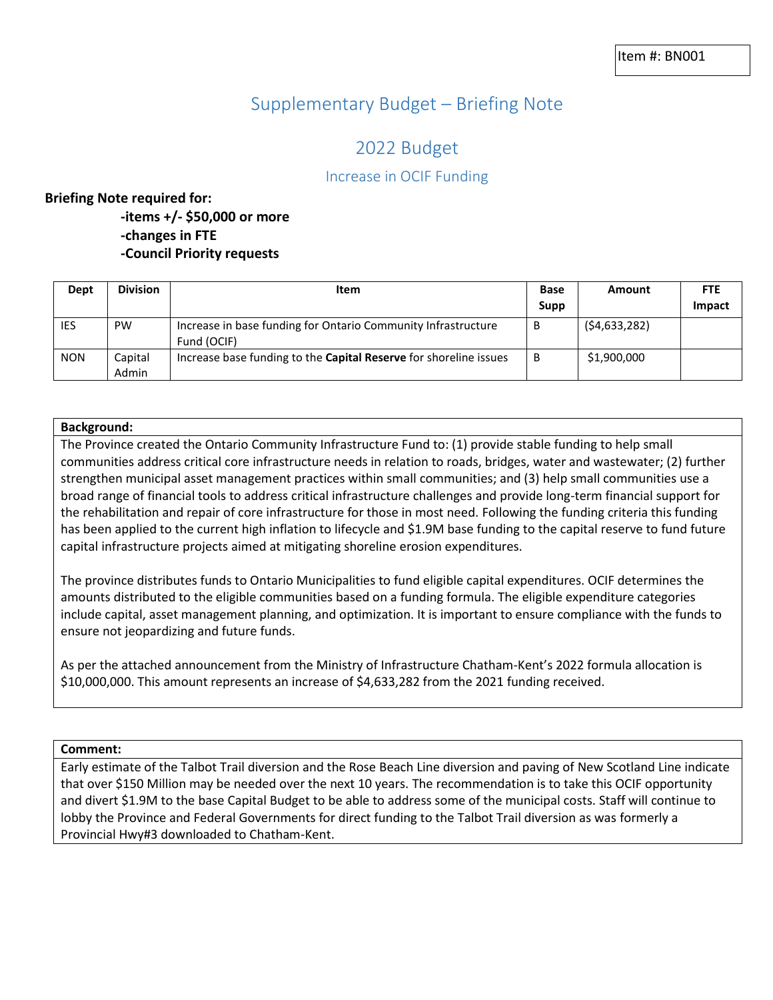# Supplementary Budget – Briefing Note

# 2022 Budget

# Increase in OCIF Funding

#### **Briefing Note required for:**

- **-items +/- \$50,000 or more -changes in FTE**
- **-Council Priority requests**

| Dept       | <b>Division</b>  | Item                                                                         | <b>Base</b> | Amount         | <b>FTE</b> |
|------------|------------------|------------------------------------------------------------------------------|-------------|----------------|------------|
|            |                  |                                                                              | Supp        |                | Impact     |
| IES        | <b>PW</b>        | Increase in base funding for Ontario Community Infrastructure<br>Fund (OCIF) | B           | (54, 633, 282) |            |
| <b>NON</b> | Capital<br>Admin | Increase base funding to the <b>Capital Reserve</b> for shoreline issues     | B           | \$1,900,000    |            |

#### **Background:**

The Province created the Ontario Community Infrastructure Fund to: (1) provide stable funding to help small communities address critical core infrastructure needs in relation to roads, bridges, water and wastewater; (2) further strengthen municipal asset management practices within small communities; and (3) help small communities use a broad range of financial tools to address critical infrastructure challenges and provide long-term financial support for the rehabilitation and repair of core infrastructure for those in most need. Following the funding criteria this funding has been applied to the current high inflation to lifecycle and \$1.9M base funding to the capital reserve to fund future capital infrastructure projects aimed at mitigating shoreline erosion expenditures.

The province distributes funds to Ontario Municipalities to fund eligible capital expenditures. OCIF determines the amounts distributed to the eligible communities based on a funding formula. The eligible expenditure categories include capital, asset management planning, and optimization. It is important to ensure compliance with the funds to ensure not jeopardizing and future funds.

As per the attached announcement from the Ministry of Infrastructure Chatham-Kent's 2022 formula allocation is \$10,000,000. This amount represents an increase of \$4,633,282 from the 2021 funding received.

**Comment:**

Early estimate of the Talbot Trail diversion and the Rose Beach Line diversion and paving of New Scotland Line indicate that over \$150 Million may be needed over the next 10 years. The recommendation is to take this OCIF opportunity and divert \$1.9M to the base Capital Budget to be able to address some of the municipal costs. Staff will continue to lobby the Province and Federal Governments for direct funding to the Talbot Trail diversion as was formerly a Provincial Hwy#3 downloaded to Chatham-Kent.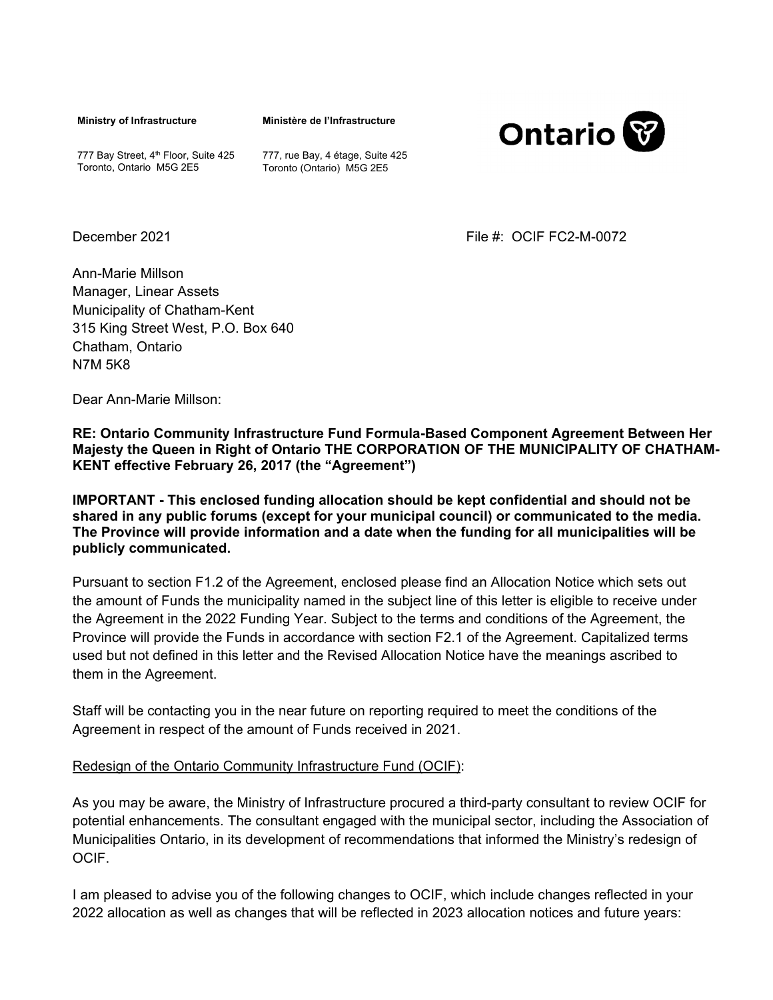**Ministry of Infrastructure** 

**Ministère de l'Infrastructure** 



777 Bay Street, 4<sup>th</sup> Floor, Suite 425 Toronto, Ontario M5G 2E5

777, rue Bay, 4 étage, Suite 425 Toronto (Ontario) M5G 2E5

December 2021 File #: OCIF FC2-M-0072

Ann-Marie Millson Manager, Linear Assets Municipality of Chatham-Kent 315 King Street West, P.O. Box 640 Chatham, Ontario N7M 5K8

Dear Ann-Marie Millson:

**RE: Ontario Community Infrastructure Fund Formula-Based Component Agreement Between Her Majesty the Queen in Right of Ontario THE CORPORATION OF THE MUNICIPALITY OF CHATHAM-KENT effective February 26, 2017 (the "Agreement")** 

**IMPORTANT - This enclosed funding allocation should be kept confidential and should not be shared in any public forums (except for your municipal council) or communicated to the media. The Province will provide information and a date when the funding for all municipalities will be publicly communicated.** 

Pursuant to section F1.2 of the Agreement, enclosed please find an Allocation Notice which sets out the amount of Funds the municipality named in the subject line of this letter is eligible to receive under the Agreement in the 2022 Funding Year. Subject to the terms and conditions of the Agreement, the Province will provide the Funds in accordance with section F2.1 of the Agreement. Capitalized terms used but not defined in this letter and the Revised Allocation Notice have the meanings ascribed to them in the Agreement.

Staff will be contacting you in the near future on reporting required to meet the conditions of the Agreement in respect of the amount of Funds received in 2021.

#### Redesign of the Ontario Community Infrastructure Fund (OCIF):

As you may be aware, the Ministry of Infrastructure procured a third-party consultant to review OCIF for potential enhancements. The consultant engaged with the municipal sector, including the Association of Municipalities Ontario, in its development of recommendations that informed the Ministry's redesign of OCIF.

I am pleased to advise you of the following changes to OCIF, which include changes reflected in your 2022 allocation as well as changes that will be reflected in 2023 allocation notices and future years: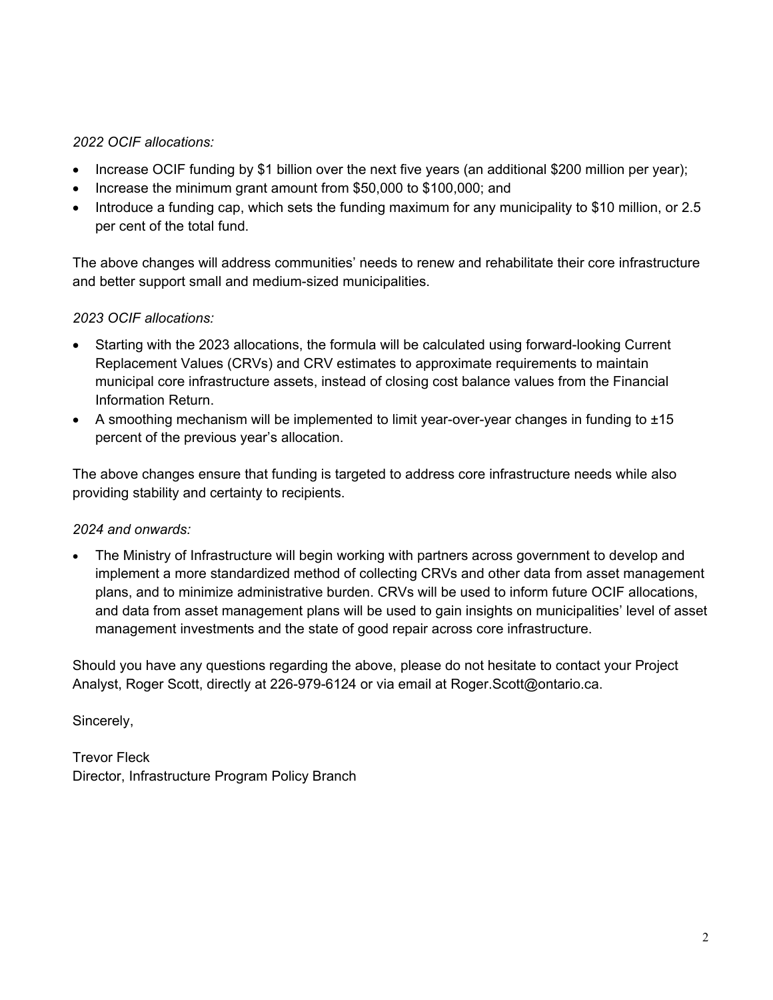## *2022 OCIF allocations:*

- Increase OCIF funding by \$1 billion over the next five years (an additional \$200 million per year);
- Increase the minimum grant amount from \$50,000 to \$100,000; and
- Introduce a funding cap, which sets the funding maximum for any municipality to \$10 million, or 2.5 per cent of the total fund.

The above changes will address communities' needs to renew and rehabilitate their core infrastructure and better support small and medium-sized municipalities.

### *2023 OCIF allocations:*

- Starting with the 2023 allocations, the formula will be calculated using forward-looking Current Replacement Values (CRVs) and CRV estimates to approximate requirements to maintain municipal core infrastructure assets, instead of closing cost balance values from the Financial Information Return.
- A smoothing mechanism will be implemented to limit year-over-year changes in funding to ±15 percent of the previous year's allocation.

The above changes ensure that funding is targeted to address core infrastructure needs while also providing stability and certainty to recipients.

### *2024 and onwards:*

 The Ministry of Infrastructure will begin working with partners across government to develop and implement a more standardized method of collecting CRVs and other data from asset management plans, and to minimize administrative burden. CRVs will be used to inform future OCIF allocations, and data from asset management plans will be used to gain insights on municipalities' level of asset management investments and the state of good repair across core infrastructure.

Should you have any questions regarding the above, please do not hesitate to contact your Project Analyst, Roger Scott, directly at 226-979-6124 or via email at Roger.Scott@ontario.ca.

Sincerely,

Trevor Fleck Director, Infrastructure Program Policy Branch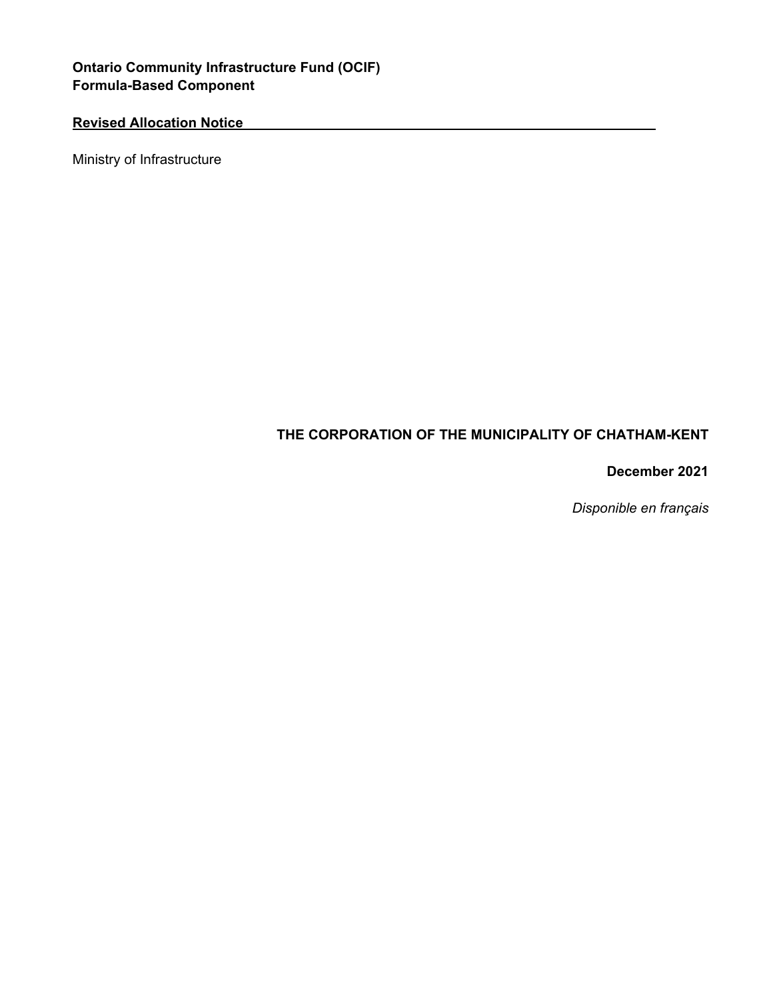# **Ontario Community Infrastructure Fund (OCIF) Formula-Based Component**

# **Revised Allocation Notice**

Ministry of Infrastructure

# **THE CORPORATION OF THE MUNICIPALITY OF CHATHAM-KENT**

### **December 2021**

 *Disponible en français*